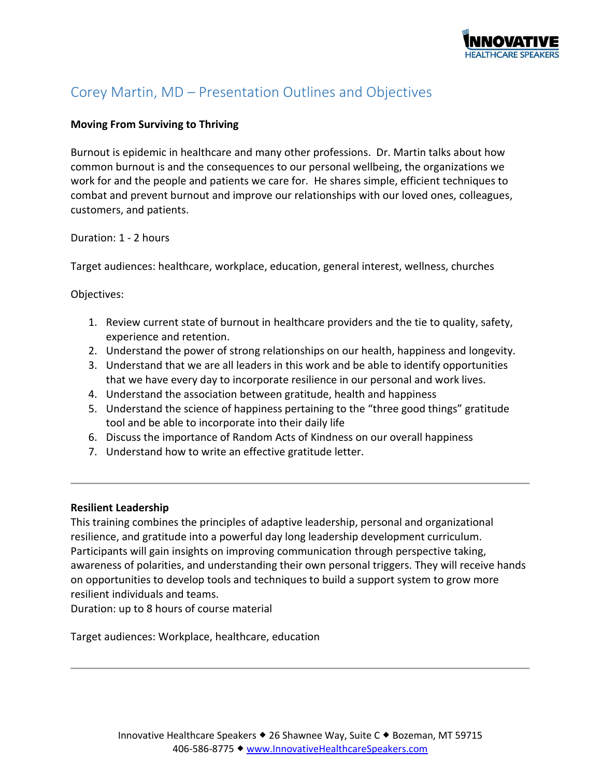

# Corey Martin, MD – Presentation Outlines and Objectives

# **Moving From Surviving to Thriving**

Burnout is epidemic in healthcare and many other professions. Dr. Martin talks about how common burnout is and the consequences to our personal wellbeing, the organizations we work for and the people and patients we care for. He shares simple, efficient techniques to combat and prevent burnout and improve our relationships with our loved ones, colleagues, customers, and patients.

Duration: 1 - 2 hours

Target audiences: healthcare, workplace, education, general interest, wellness, churches

Objectives:

- 1. Review current state of burnout in healthcare providers and the tie to quality, safety, experience and retention.
- 2. Understand the power of strong relationships on our health, happiness and longevity.
- 3. Understand that we are all leaders in this work and be able to identify opportunities that we have every day to incorporate resilience in our personal and work lives.
- 4. Understand the association between gratitude, health and happiness
- 5. Understand the science of happiness pertaining to the "three good things" gratitude tool and be able to incorporate into their daily life
- 6. Discuss the importance of Random Acts of Kindness on our overall happiness
- 7. Understand how to write an effective gratitude letter.

# **Resilient Leadership**

This training combines the principles of adaptive leadership, personal and organizational resilience, and gratitude into a powerful day long leadership development curriculum. Participants will gain insights on improving communication through perspective taking, awareness of polarities, and understanding their own personal triggers. They will receive hands on opportunities to develop tools and techniques to build a support system to grow more resilient individuals and teams.

Duration: up to 8 hours of course material

Target audiences: Workplace, healthcare, education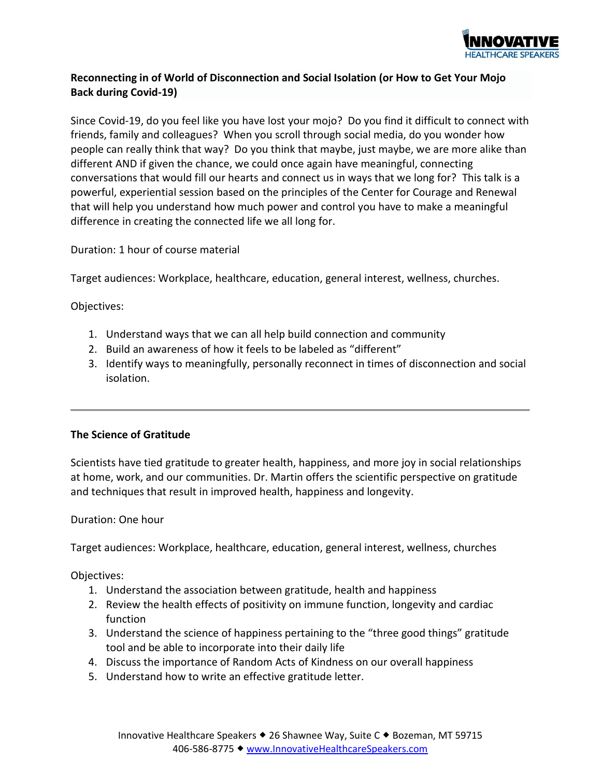

# **Reconnecting in of World of Disconnection and Social Isolation (or How to Get Your Mojo Back during Covid-19)**

Since Covid-19, do you feel like you have lost your mojo? Do you find it difficult to connect with friends, family and colleagues? When you scroll through social media, do you wonder how people can really think that way? Do you think that maybe, just maybe, we are more alike than different AND if given the chance, we could once again have meaningful, connecting conversations that would fill our hearts and connect us in ways that we long for? This talk is a powerful, experiential session based on the principles of the Center for Courage and Renewal that will help you understand how much power and control you have to make a meaningful difference in creating the connected life we all long for.

Duration: 1 hour of course material

Target audiences: Workplace, healthcare, education, general interest, wellness, churches.

Objectives:

- 1. Understand ways that we can all help build connection and community
- 2. Build an awareness of how it feels to be labeled as "different"
- 3. Identify ways to meaningfully, personally reconnect in times of disconnection and social isolation.

# **The Science of Gratitude**

Scientists have tied [gratitude](https://greatergood.berkeley.edu/topic/gratitude) to greater health, happiness, and more joy in social relationships at home, work, and our communities. Dr. Martin offers the scientific perspective on gratitude and techniques that result in improved health, happiness and longevity.

# Duration: One hour

Target audiences: Workplace, healthcare, education, general interest, wellness, churches

Objectives:

- 1. Understand the association between gratitude, health and happiness
- 2. Review the health effects of positivity on immune function, longevity and cardiac function
- 3. Understand the science of happiness pertaining to the "three good things" gratitude tool and be able to incorporate into their daily life
- 4. Discuss the importance of Random Acts of Kindness on our overall happiness
- 5. Understand how to write an effective gratitude letter.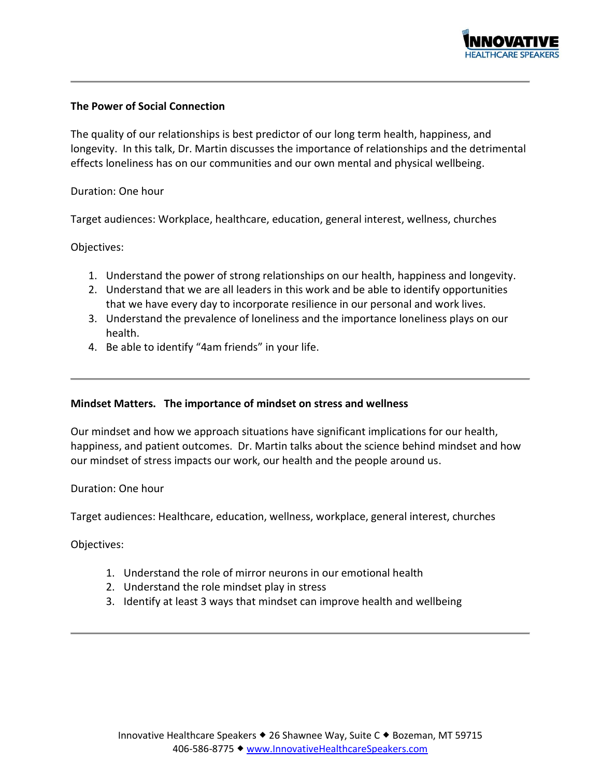

### **The Power of Social Connection**

The quality of our relationships is best predictor of our long term health, happiness, and longevity. In this talk, Dr. Martin discusses the importance of relationships and the detrimental effects loneliness has on our communities and our own mental and physical wellbeing.

### Duration: One hour

Target audiences: Workplace, healthcare, education, general interest, wellness, churches

#### Objectives:

- 1. Understand the power of strong relationships on our health, happiness and longevity.
- 2. Understand that we are all leaders in this work and be able to identify opportunities that we have every day to incorporate resilience in our personal and work lives.
- 3. Understand the prevalence of loneliness and the importance loneliness plays on our health.
- 4. Be able to identify "4am friends" in your life.

#### **Mindset Matters. The importance of mindset on stress and wellness**

Our mindset and how we approach situations have significant implications for our health, happiness, and patient outcomes. Dr. Martin talks about the science behind mindset and how our mindset of stress impacts our work, our health and the people around us.

#### Duration: One hour

Target audiences: Healthcare, education, wellness, workplace, general interest, churches

Objectives:

- 1. Understand the role of mirror neurons in our emotional health
- 2. Understand the role mindset play in stress
- 3. Identify at least 3 ways that mindset can improve health and wellbeing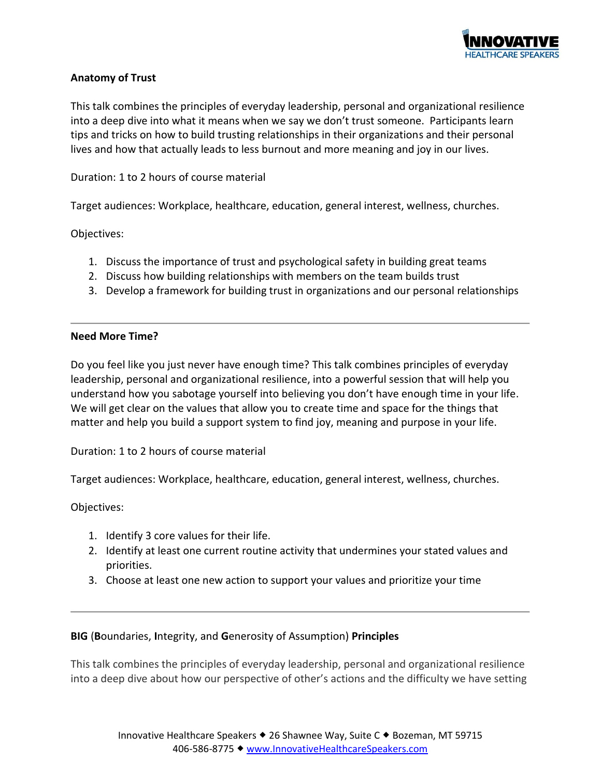

# **Anatomy of Trust**

This talk combines the principles of everyday leadership, personal and organizational resilience into a deep dive into what it means when we say we don't trust someone. Participants learn tips and tricks on how to build trusting relationships in their organizations and their personal lives and how that actually leads to less burnout and more meaning and joy in our lives.

Duration: 1 to 2 hours of course material

Target audiences: Workplace, healthcare, education, general interest, wellness, churches.

Objectives:

- 1. Discuss the importance of trust and psychological safety in building great teams
- 2. Discuss how building relationships with members on the team builds trust
- 3. Develop a framework for building trust in organizations and our personal relationships

### **Need More Time?**

Do you feel like you just never have enough time? This talk combines principles of everyday leadership, personal and organizational resilience, into a powerful session that will help you understand how you sabotage yourself into believing you don't have enough time in your life. We will get clear on the values that allow you to create time and space for the things that matter and help you build a support system to find joy, meaning and purpose in your life.

Duration: 1 to 2 hours of course material

Target audiences: Workplace, healthcare, education, general interest, wellness, churches.

Objectives:

- 1. Identify 3 core values for their life.
- 2. Identify at least one current routine activity that undermines your stated values and priorities.
- 3. Choose at least one new action to support your values and prioritize your time

# **BIG** (**B**oundaries, **I**ntegrity, and **G**enerosity of Assumption) **Principles**

This talk combines the principles of everyday leadership, personal and organizational resilience into a deep dive about how our perspective of other's actions and the difficulty we have setting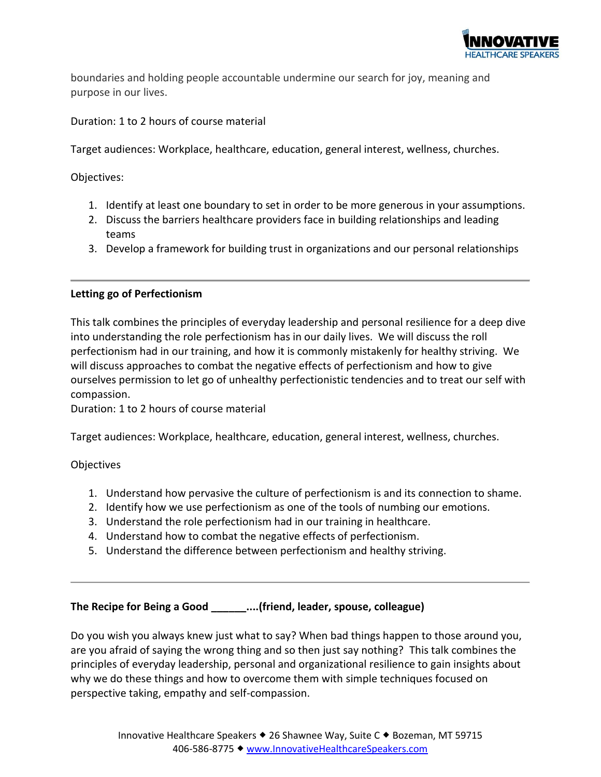

boundaries and holding people accountable undermine our search for joy, meaning and purpose in our lives.

Duration: 1 to 2 hours of course material

Target audiences: Workplace, healthcare, education, general interest, wellness, churches.

Objectives:

- 1. Identify at least one boundary to set in order to be more generous in your assumptions.
- 2. Discuss the barriers healthcare providers face in building relationships and leading teams
- 3. Develop a framework for building trust in organizations and our personal relationships

# **Letting go of Perfectionism**

This talk combines the principles of everyday leadership and personal resilience for a deep dive into understanding the role perfectionism has in our daily lives. We will discuss the roll perfectionism had in our training, and how it is commonly mistakenly for healthy striving. We will discuss approaches to combat the negative effects of perfectionism and how to give ourselves permission to let go of unhealthy perfectionistic tendencies and to treat our self with compassion.

Duration: 1 to 2 hours of course material

Target audiences: Workplace, healthcare, education, general interest, wellness, churches.

**Objectives** 

- 1. Understand how pervasive the culture of perfectionism is and its connection to shame.
- 2. Identify how we use perfectionism as one of the tools of numbing our emotions.
- 3. Understand the role perfectionism had in our training in healthcare.
- 4. Understand how to combat the negative effects of perfectionism.
- 5. Understand the difference between perfectionism and healthy striving.

### **The Recipe for Being a Good \_\_\_\_\_\_....(friend, leader, spouse, colleague)**

Do you wish you always knew just what to say? When bad things happen to those around you, are you afraid of saying the wrong thing and so then just say nothing? This talk combines the principles of everyday leadership, personal and organizational resilience to gain insights about why we do these things and how to overcome them with simple techniques focused on perspective taking, empathy and self-compassion.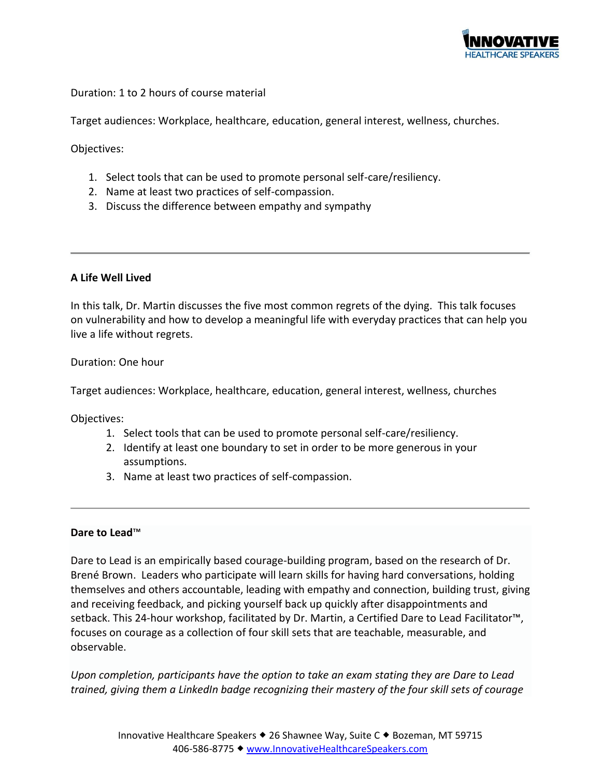

Duration: 1 to 2 hours of course material

Target audiences: Workplace, healthcare, education, general interest, wellness, churches.

Objectives:

- 1. Select tools that can be used to promote personal self-care/resiliency.
- 2. Name at least two practices of self-compassion.
- 3. Discuss the difference between empathy and sympathy

### **A Life Well Lived**

In this talk, Dr. Martin discusses the five most common regrets of the dying. This talk focuses on vulnerability and how to develop a meaningful life with everyday practices that can help you live a life without regrets.

Duration: One hour

Target audiences: Workplace, healthcare, education, general interest, wellness, churches

Objectives:

- 1. Select tools that can be used to promote personal self-care/resiliency.
- 2. Identify at least one boundary to set in order to be more generous in your assumptions.
- 3. Name at least two practices of self-compassion.

### **Dare to Lead**™

Dare to Lead is an empirically based courage-building program, based on the research of Dr. Brené Brown. Leaders who participate will learn skills for having hard conversations, holding themselves and others accountable, leading with empathy and connection, building trust, giving and receiving feedback, and picking yourself back up quickly after disappointments and setback. This 24-hour workshop, facilitated by Dr. Martin, a Certified Dare to Lead Facilitator™, focuses on courage as a collection of four skill sets that are teachable, measurable, and observable.

*Upon completion, participants have the option to take an exam stating they are Dare to Lead trained, giving them a LinkedIn badge recognizing their mastery of the four skill sets of courage*